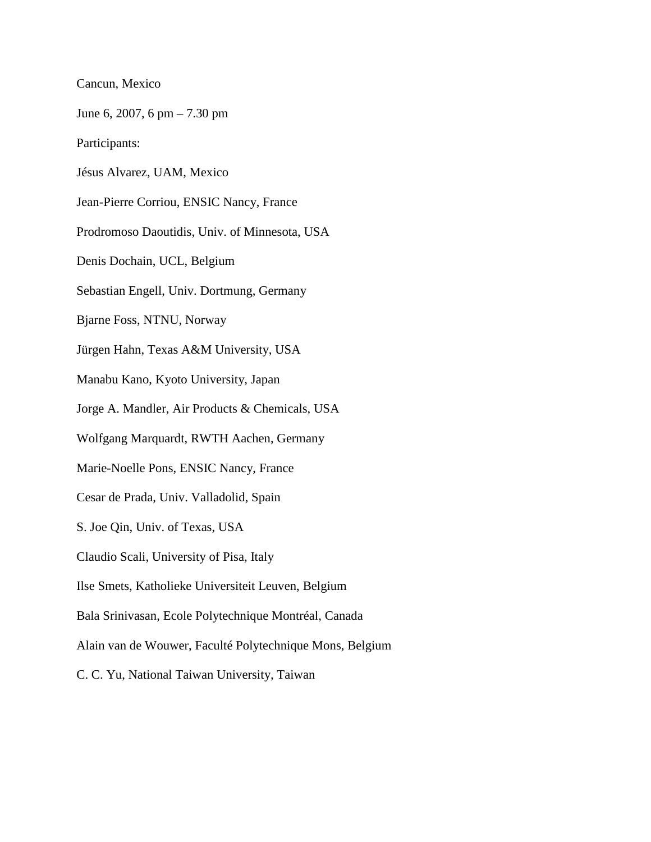Cancun, Mexico

June 6, 2007, 6 pm – 7.30 pm

Participants:

Jésus Alvarez, UAM, Mexico

Jean-Pierre Corriou, ENSIC Nancy, France

Prodromoso Daoutidis, Univ. of Minnesota, USA

Denis Dochain, UCL, Belgium

Sebastian Engell, Univ. Dortmung, Germany

Bjarne Foss, NTNU, Norway

Jürgen Hahn, Texas A&M University, USA

Manabu Kano, Kyoto University, Japan

Jorge A. Mandler, Air Products & Chemicals, USA

Wolfgang Marquardt, RWTH Aachen, Germany

Marie-Noelle Pons, ENSIC Nancy, France

Cesar de Prada, Univ. Valladolid, Spain

S. Joe Qin, Univ. of Texas, USA

Claudio Scali, University of Pisa, Italy

Ilse Smets, Katholieke Universiteit Leuven, Belgium

Bala Srinivasan, Ecole Polytechnique Montréal, Canada

Alain van de Wouwer, Faculté Polytechnique Mons, Belgium

C. C. Yu, National Taiwan University, Taiwan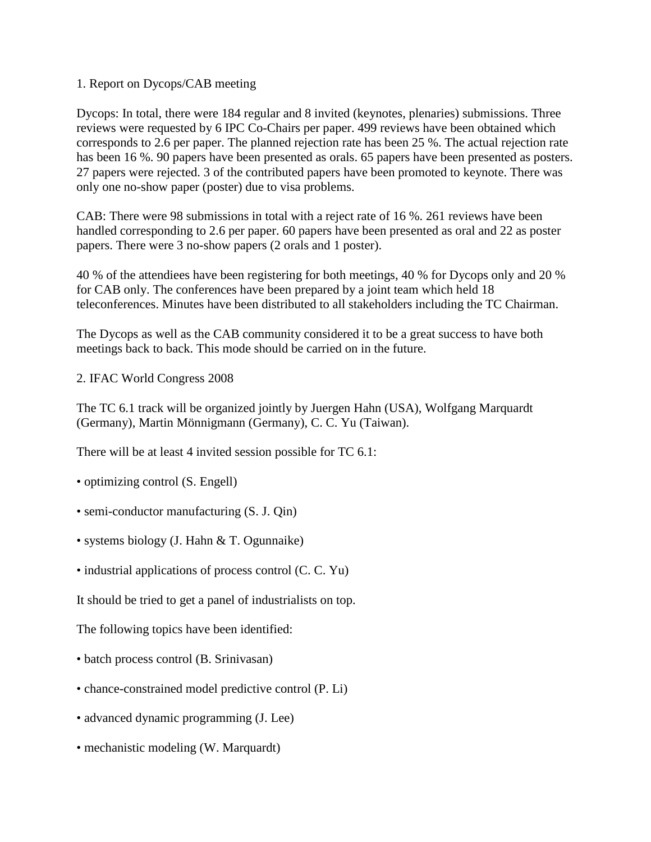1. Report on Dycops/CAB meeting

Dycops: In total, there were 184 regular and 8 invited (keynotes, plenaries) submissions. Three reviews were requested by 6 IPC Co-Chairs per paper. 499 reviews have been obtained which corresponds to 2.6 per paper. The planned rejection rate has been 25 %. The actual rejection rate has been 16 %. 90 papers have been presented as orals. 65 papers have been presented as posters. 27 papers were rejected. 3 of the contributed papers have been promoted to keynote. There was only one no-show paper (poster) due to visa problems.

CAB: There were 98 submissions in total with a reject rate of 16 %. 261 reviews have been handled corresponding to 2.6 per paper. 60 papers have been presented as oral and 22 as poster papers. There were 3 no-show papers (2 orals and 1 poster).

40 % of the attendiees have been registering for both meetings, 40 % for Dycops only and 20 % for CAB only. The conferences have been prepared by a joint team which held 18 teleconferences. Minutes have been distributed to all stakeholders including the TC Chairman.

The Dycops as well as the CAB community considered it to be a great success to have both meetings back to back. This mode should be carried on in the future.

2. IFAC World Congress 2008

The TC 6.1 track will be organized jointly by Juergen Hahn (USA), Wolfgang Marquardt (Germany), Martin Mönnigmann (Germany), C. C. Yu (Taiwan).

There will be at least 4 invited session possible for TC 6.1:

- optimizing control (S. Engell)
- semi-conductor manufacturing  $(S, J, Qin)$
- systems biology (J. Hahn & T. Ogunnaike)
- industrial applications of process control (C. C. Yu)

It should be tried to get a panel of industrialists on top.

The following topics have been identified:

- batch process control (B. Srinivasan)
- chance-constrained model predictive control (P. Li)
- advanced dynamic programming (J. Lee)
- mechanistic modeling (W. Marquardt)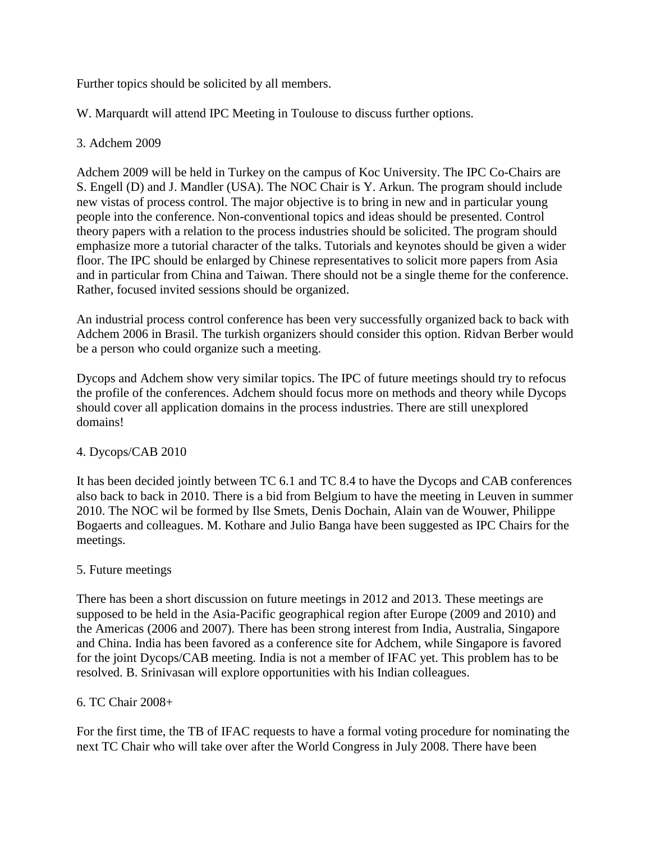Further topics should be solicited by all members.

W. Marquardt will attend IPC Meeting in Toulouse to discuss further options.

#### 3. Adchem 2009

Adchem 2009 will be held in Turkey on the campus of Koc University. The IPC Co-Chairs are S. Engell (D) and J. Mandler (USA). The NOC Chair is Y. Arkun. The program should include new vistas of process control. The major objective is to bring in new and in particular young people into the conference. Non-conventional topics and ideas should be presented. Control theory papers with a relation to the process industries should be solicited. The program should emphasize more a tutorial character of the talks. Tutorials and keynotes should be given a wider floor. The IPC should be enlarged by Chinese representatives to solicit more papers from Asia and in particular from China and Taiwan. There should not be a single theme for the conference. Rather, focused invited sessions should be organized.

An industrial process control conference has been very successfully organized back to back with Adchem 2006 in Brasil. The turkish organizers should consider this option. Ridvan Berber would be a person who could organize such a meeting.

Dycops and Adchem show very similar topics. The IPC of future meetings should try to refocus the profile of the conferences. Adchem should focus more on methods and theory while Dycops should cover all application domains in the process industries. There are still unexplored domains!

# 4. Dycops/CAB 2010

It has been decided jointly between TC 6.1 and TC 8.4 to have the Dycops and CAB conferences also back to back in 2010. There is a bid from Belgium to have the meeting in Leuven in summer 2010. The NOC wil be formed by Ilse Smets, Denis Dochain, Alain van de Wouwer, Philippe Bogaerts and colleagues. M. Kothare and Julio Banga have been suggested as IPC Chairs for the meetings.

# 5. Future meetings

There has been a short discussion on future meetings in 2012 and 2013. These meetings are supposed to be held in the Asia-Pacific geographical region after Europe (2009 and 2010) and the Americas (2006 and 2007). There has been strong interest from India, Australia, Singapore and China. India has been favored as a conference site for Adchem, while Singapore is favored for the joint Dycops/CAB meeting. India is not a member of IFAC yet. This problem has to be resolved. B. Srinivasan will explore opportunities with his Indian colleagues.

#### 6. TC Chair 2008+

For the first time, the TB of IFAC requests to have a formal voting procedure for nominating the next TC Chair who will take over after the World Congress in July 2008. There have been